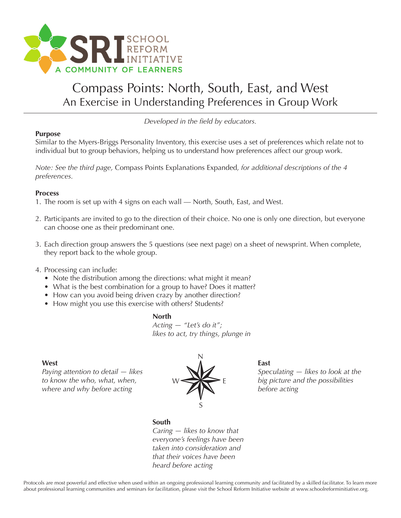

## Compass Points: North, South, East, and West An Exercise in Understanding Preferences in Group Work

*Developed in the field by educators.*

#### **Purpose**

Similar to the Myers-Briggs Personality Inventory, this exercise uses a set of preferences which relate not to individual but to group behaviors, helping us to understand how preferences affect our group work.

*Note: See the third page,* Compass Points Explanations Expanded*, for additional descriptions of the 4 preferences.*

### **Process**

- 1. The room is set up with 4 signs on each wall North, South, East, and West.
- 2. Participants are invited to go to the direction of their choice. No one is only one direction, but everyone can choose one as their predominant one.
- 3. Each direction group answers the 5 questions (see next page) on a sheet of newsprint. When complete, they report back to the whole group.

#### 4. Processing can include:

- Note the distribution among the directions: what might it mean?
- What is the best combination for a group to have? Does it matter?
- How can you avoid being driven crazy by another direction?
- How might you use this exercise with others? Students?

#### **North**

*Acting — "Let's do it"; likes to act, try things, plunge in*

#### **West**

*Paying attention to detail — likes to know the who, what, when, where and why before acting*



#### **East**

*Speculating — likes to look at the big picture and the possibilities before acting*

#### **South**

*Caring — likes to know that everyone's feelings have been taken into consideration and that their voices have been heard before acting*

Protocols are most powerful and effective when used within an ongoing professional learning community and facilitated by a skilled facilitator. To learn more about professional learning communities and seminars for facilitation, please visit the School Reform Initiative website at www.schoolreforminitiative.org.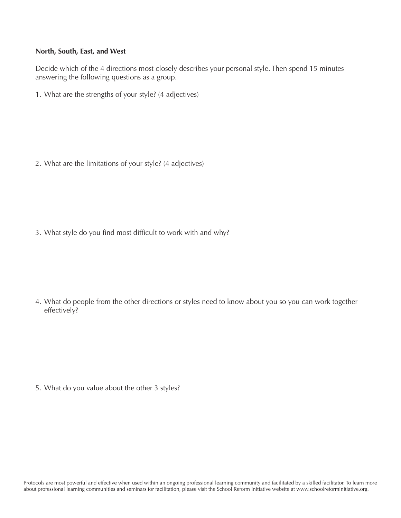#### **North, South, East, and West**

Decide which of the 4 directions most closely describes your personal style. Then spend 15 minutes answering the following questions as a group.

1. What are the strengths of your style? (4 adjectives)

2. What are the limitations of your style? (4 adjectives)

3. What style do you find most difficult to work with and why?

4. What do people from the other directions or styles need to know about you so you can work together effectively?

5. What do you value about the other 3 styles?